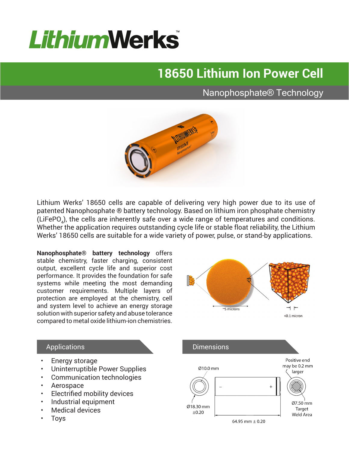# **LithiumWerks**

## **18650 Lithium Ion Power Cell**

### Nanophosphate® Technology



Lithium Werks' 18650 cells are capable of delivering very high power due to its use of patented Nanophosphate ® battery technology. Based on lithium iron phosphate chemistry (LiFePO<sub>4</sub>), the cells are inherently safe over a wide range of temperatures and conditions. Whether the application requires outstanding cycle life or stable float reliability, the Lithium Werks' 18650 cells are suitable for a wide variety of power, pulse, or stand-by applications.

**Nanophosphate® battery technology** offers stable chemistry, faster charging, consistent output, excellent cycle life and superior cost performance. It provides the foundation for safe systems while meeting the most demanding customer requirements. Multiple layers of protection are employed at the chemistry, cell and system level to achieve an energy storage solution with superior safety and abuse tolerance compared to metal oxide lithium-ion chemistries.



#### Applications

- Energy storage
- Uninterruptible Power Supplies
- Communication technologies
- Aerospace
- Electrified mobility devices
- Industrial equipment
- Medical devices
- **Toys**